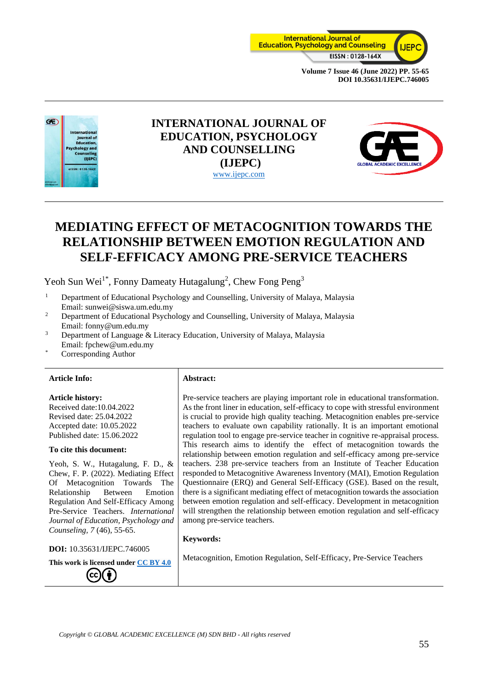



# **INTERNATIONAL JOURNAL OF EDUCATION, PSYCHOLOGY AND COUNSELLING (IJEPC)** [www.ijepc.com](http://www.ijepc.com/)



# **MEDIATING EFFECT OF METACOGNITION TOWARDS THE RELATIONSHIP BETWEEN EMOTION REGULATION AND SELF-EFFICACY AMONG PRE-SERVICE TEACHERS**

Yeoh Sun Wei<sup>1\*</sup>, Fonny Dameaty Hutagalung<sup>2</sup>, Chew Fong Peng<sup>3</sup>

- <sup>1</sup> Department of Educational Psychology and Counselling, University of Malaya, Malaysia Email: sunwei@siswa.um.edu.my
- <sup>2</sup> Department of Educational Psychology and Counselling, University of Malaya, Malaysia Email: fonny@um.edu.my
- <sup>3</sup> Department of Language & Literacy Education, University of Malaya, Malaysia Email: fpchew@um.edu.my
- Corresponding Author

#### **Article Info: Abstract:**

#### **Article history:**

Received date:10.04.2022 Revised date: 25.04.2022 Accepted date: 10.05.2022 Published date: 15.06.2022

#### **To cite this document:**

Yeoh, S. W., Hutagalung, F. D., & Chew, F. P. (2022). Mediating Effect Of Metacognition Towards The Relationship Between Emotion Regulation And Self-Efficacy Among Pre-Service Teachers. *International Journal of Education, Psychology and Counseling, 7* (46), 55-65.

**DOI:** 10.35631/IJEPC.746005

**This work is licensed under [CC BY 4.0](https://creativecommons.org/licenses/by/4.0/?ref=chooser-v1)**

Pre-service teachers are playing important role in educational transformation. As the front liner in education, self-efficacy to cope with stressful environment is crucial to provide high quality teaching. Metacognition enables pre-service teachers to evaluate own capability rationally. It is an important emotional regulation tool to engage pre-service teacher in cognitive re-appraisal process. This research aims to identify the effect of metacognition towards the relationship between emotion regulation and self-efficacy among pre-service teachers. 238 pre-service teachers from an Institute of Teacher Education responded to Metacognitive Awareness Inventory (MAI), Emotion Regulation Questionnaire (ERQ) and General Self-Efficacy (GSE). Based on the result, there is a significant mediating effect of metacognition towards the association between emotion regulation and self-efficacy. Development in metacognition will strengthen the relationship between emotion regulation and self-efficacy among pre-service teachers.

#### **Keywords:**

Metacognition, Emotion Regulation, Self-Efficacy, Pre-Service Teachers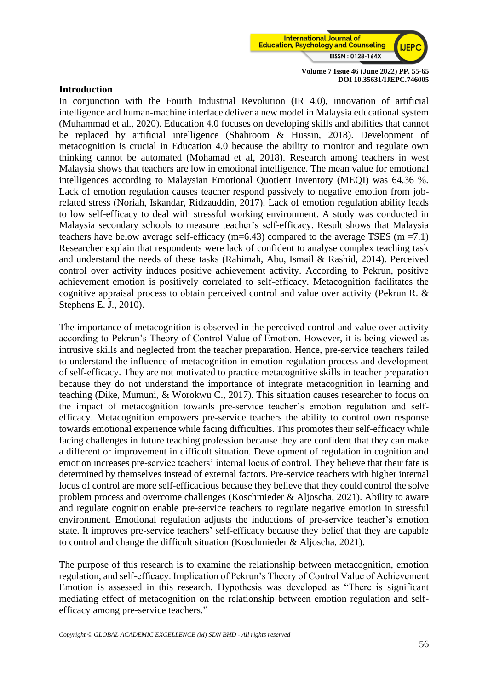

#### **Introduction**

In conjunction with the Fourth Industrial Revolution (IR 4.0), innovation of artificial intelligence and human-machine interface deliver a new model in Malaysia educational system (Muhammad et al., 2020). Education 4.0 focuses on developing skills and abilities that cannot be replaced by artificial intelligence (Shahroom & Hussin, 2018). Development of metacognition is crucial in Education 4.0 because the ability to monitor and regulate own thinking cannot be automated (Mohamad et al, 2018). Research among teachers in west Malaysia shows that teachers are low in emotional intelligence. The mean value for emotional intelligences according to Malaysian Emotional Quotient Inventory (MEQI) was 64.36 %. Lack of emotion regulation causes teacher respond passively to negative emotion from jobrelated stress (Noriah, Iskandar, Ridzauddin, 2017). Lack of emotion regulation ability leads to low self-efficacy to deal with stressful working environment. A study was conducted in Malaysia secondary schools to measure teacher's self-efficacy. Result shows that Malaysia teachers have below average self-efficacy (m=6.43) compared to the average TSES (m =7.1) Researcher explain that respondents were lack of confident to analyse complex teaching task and understand the needs of these tasks (Rahimah, Abu, Ismail & Rashid, 2014). Perceived control over activity induces positive achievement activity. According to Pekrun, positive achievement emotion is positively correlated to self-efficacy. Metacognition facilitates the cognitive appraisal process to obtain perceived control and value over activity (Pekrun R. & Stephens E. J., 2010).

The importance of metacognition is observed in the perceived control and value over activity according to Pekrun's Theory of Control Value of Emotion. However, it is being viewed as intrusive skills and neglected from the teacher preparation. Hence, pre-service teachers failed to understand the influence of metacognition in emotion regulation process and development of self-efficacy. They are not motivated to practice metacognitive skills in teacher preparation because they do not understand the importance of integrate metacognition in learning and teaching (Dike, Mumuni, & Worokwu C., 2017). This situation causes researcher to focus on the impact of metacognition towards pre-service teacher's emotion regulation and selfefficacy. Metacognition empowers pre-service teachers the ability to control own response towards emotional experience while facing difficulties. This promotes their self-efficacy while facing challenges in future teaching profession because they are confident that they can make a different or improvement in difficult situation. Development of regulation in cognition and emotion increases pre-service teachers' internal locus of control. They believe that their fate is determined by themselves instead of external factors. Pre-service teachers with higher internal locus of control are more self-efficacious because they believe that they could control the solve problem process and overcome challenges (Koschmieder & Aljoscha, 2021). Ability to aware and regulate cognition enable pre-service teachers to regulate negative emotion in stressful environment. Emotional regulation adjusts the inductions of pre-service teacher's emotion state. It improves pre-service teachers' self-efficacy because they belief that they are capable to control and change the difficult situation (Koschmieder & Aljoscha, 2021).

The purpose of this research is to examine the relationship between metacognition, emotion regulation, and self-efficacy. Implication of Pekrun's Theory of Control Value of Achievement Emotion is assessed in this research. Hypothesis was developed as "There is significant mediating effect of metacognition on the relationship between emotion regulation and selfefficacy among pre-service teachers."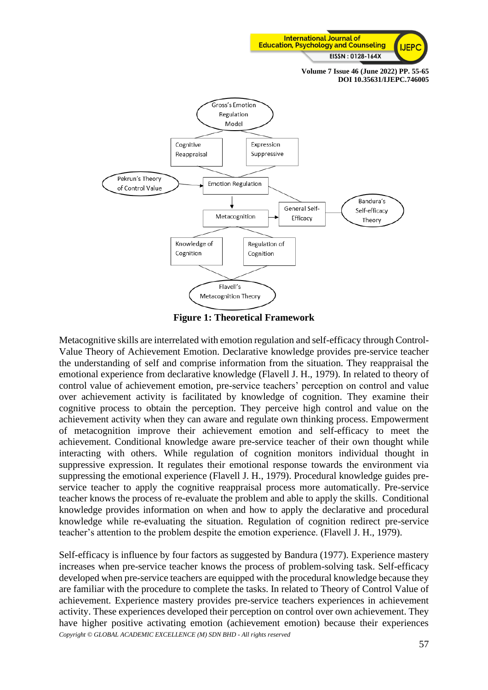



**Figure 1: Theoretical Framework**

Metacognitive skills are interrelated with emotion regulation and self-efficacy through Control-Value Theory of Achievement Emotion. Declarative knowledge provides pre-service teacher the understanding of self and comprise information from the situation. They reappraisal the emotional experience from declarative knowledge (Flavell J. H., 1979). In related to theory of control value of achievement emotion, pre-service teachers' perception on control and value over achievement activity is facilitated by knowledge of cognition. They examine their cognitive process to obtain the perception. They perceive high control and value on the achievement activity when they can aware and regulate own thinking process. Empowerment of metacognition improve their achievement emotion and self-efficacy to meet the achievement. Conditional knowledge aware pre-service teacher of their own thought while interacting with others. While regulation of cognition monitors individual thought in suppressive expression. It regulates their emotional response towards the environment via suppressing the emotional experience (Flavell J. H., 1979). Procedural knowledge guides preservice teacher to apply the cognitive reappraisal process more automatically. Pre-service teacher knows the process of re-evaluate the problem and able to apply the skills. Conditional knowledge provides information on when and how to apply the declarative and procedural knowledge while re-evaluating the situation. Regulation of cognition redirect pre-service teacher's attention to the problem despite the emotion experience. (Flavell J. H., 1979).

*Copyright © GLOBAL ACADEMIC EXCELLENCE (M) SDN BHD - All rights reserved* Self-efficacy is influence by four factors as suggested by Bandura (1977). Experience mastery increases when pre-service teacher knows the process of problem-solving task. Self-efficacy developed when pre-service teachers are equipped with the procedural knowledge because they are familiar with the procedure to complete the tasks. In related to Theory of Control Value of achievement. Experience mastery provides pre-service teachers experiences in achievement activity. These experiences developed their perception on control over own achievement. They have higher positive activating emotion (achievement emotion) because their experiences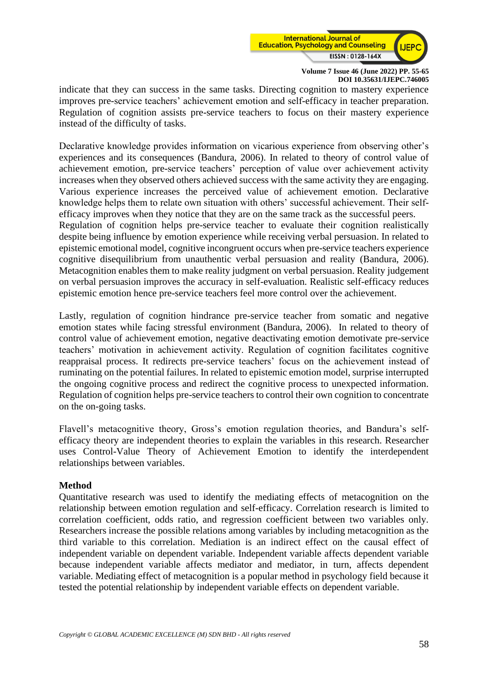

indicate that they can success in the same tasks. Directing cognition to mastery experience improves pre-service teachers' achievement emotion and self-efficacy in teacher preparation. Regulation of cognition assists pre-service teachers to focus on their mastery experience instead of the difficulty of tasks.

Declarative knowledge provides information on vicarious experience from observing other's experiences and its consequences (Bandura, 2006). In related to theory of control value of achievement emotion, pre-service teachers' perception of value over achievement activity increases when they observed others achieved success with the same activity they are engaging. Various experience increases the perceived value of achievement emotion. Declarative knowledge helps them to relate own situation with others' successful achievement. Their selfefficacy improves when they notice that they are on the same track as the successful peers. Regulation of cognition helps pre-service teacher to evaluate their cognition realistically despite being influence by emotion experience while receiving verbal persuasion. In related to epistemic emotional model, cognitive incongruent occurs when pre-service teachers experience cognitive disequilibrium from unauthentic verbal persuasion and reality (Bandura, 2006). Metacognition enables them to make reality judgment on verbal persuasion. Reality judgement on verbal persuasion improves the accuracy in self-evaluation. Realistic self-efficacy reduces epistemic emotion hence pre-service teachers feel more control over the achievement.

Lastly, regulation of cognition hindrance pre-service teacher from somatic and negative emotion states while facing stressful environment (Bandura, 2006). In related to theory of control value of achievement emotion, negative deactivating emotion demotivate pre-service teachers' motivation in achievement activity. Regulation of cognition facilitates cognitive reappraisal process. It redirects pre-service teachers' focus on the achievement instead of ruminating on the potential failures. In related to epistemic emotion model, surprise interrupted the ongoing cognitive process and redirect the cognitive process to unexpected information. Regulation of cognition helps pre-service teachers to control their own cognition to concentrate on the on-going tasks.

Flavell's metacognitive theory, Gross's emotion regulation theories, and Bandura's selfefficacy theory are independent theories to explain the variables in this research. Researcher uses Control-Value Theory of Achievement Emotion to identify the interdependent relationships between variables.

## **Method**

Quantitative research was used to identify the mediating effects of metacognition on the relationship between emotion regulation and self-efficacy. Correlation research is limited to correlation coefficient, odds ratio, and regression coefficient between two variables only. Researchers increase the possible relations among variables by including metacognition as the third variable to this correlation. Mediation is an indirect effect on the causal effect of independent variable on dependent variable. Independent variable affects dependent variable because independent variable affects mediator and mediator, in turn, affects dependent variable. Mediating effect of metacognition is a popular method in psychology field because it tested the potential relationship by independent variable effects on dependent variable.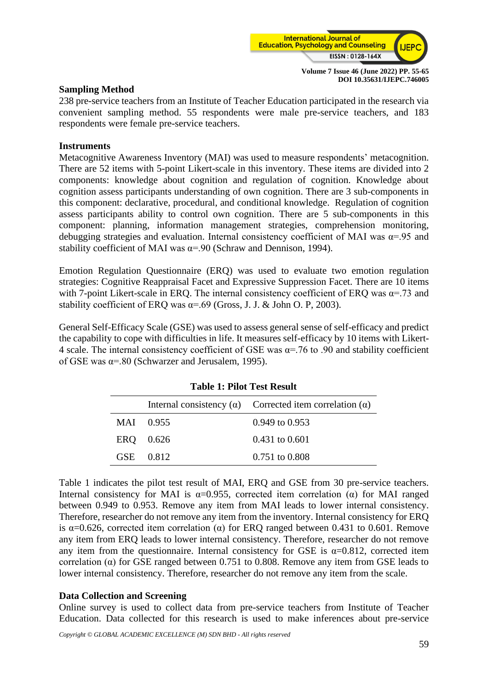

#### **Sampling Method**

238 pre-service teachers from an Institute of Teacher Education participated in the research via convenient sampling method. 55 respondents were male pre-service teachers, and 183 respondents were female pre-service teachers.

#### **Instruments**

Metacognitive Awareness Inventory (MAI) was used to measure respondents' metacognition. There are 52 items with 5-point Likert-scale in this inventory. These items are divided into 2 components: knowledge about cognition and regulation of cognition. Knowledge about cognition assess participants understanding of own cognition. There are 3 sub-components in this component: declarative, procedural, and conditional knowledge. Regulation of cognition assess participants ability to control own cognition. There are 5 sub-components in this component: planning, information management strategies, comprehension monitoring, debugging strategies and evaluation. Internal consistency coefficient of MAI was  $\alpha = 0.95$  and stability coefficient of MAI was  $\alpha = .90$  (Schraw and Dennison, 1994).

Emotion Regulation Questionnaire (ERQ) was used to evaluate two emotion regulation strategies: Cognitive Reappraisal Facet and Expressive Suppression Facet. There are 10 items with 7-point Likert-scale in ERQ. The internal consistency coefficient of ERQ was  $\alpha$ =.73 and stability coefficient of ERO was  $\alpha = .69$  (Gross, J. J. & John O. P, 2003).

General Self-Efficacy Scale (GSE) was used to assess general sense of self-efficacy and predict the capability to cope with difficulties in life. It measures self-efficacy by 10 items with Likert-4 scale. The internal consistency coefficient of GSE was  $\alpha$ =.76 to .90 and stability coefficient of GSE was  $\alpha = 0.80$  (Schwarzer and Jerusalem, 1995).

## **Table 1: Pilot Test Result**

|           | Internal consistency $(\alpha)$ Corrected item correlation $(\alpha)$ |
|-----------|-----------------------------------------------------------------------|
| MAI 0.955 | $0.949$ to $0.953$                                                    |
| ERQ 0.626 | $0.431$ to $0.601$                                                    |
| GSE 0.812 | $0.751$ to $0.808$                                                    |

Table 1 indicates the pilot test result of MAI, ERQ and GSE from 30 pre-service teachers. Internal consistency for MAI is  $\alpha$ =0.955, corrected item correlation ( $\alpha$ ) for MAI ranged between 0.949 to 0.953. Remove any item from MAI leads to lower internal consistency. Therefore, researcher do not remove any item from the inventory. Internal consistency for ERQ is  $\alpha$ =0.626, corrected item correlation (α) for ERQ ranged between 0.431 to 0.601. Remove any item from ERQ leads to lower internal consistency. Therefore, researcher do not remove any item from the questionnaire. Internal consistency for GSE is  $\alpha$ =0.812, corrected item correlation (α) for GSE ranged between 0.751 to 0.808. Remove any item from GSE leads to lower internal consistency. Therefore, researcher do not remove any item from the scale.

## **Data Collection and Screening**

Online survey is used to collect data from pre-service teachers from Institute of Teacher Education. Data collected for this research is used to make inferences about pre-service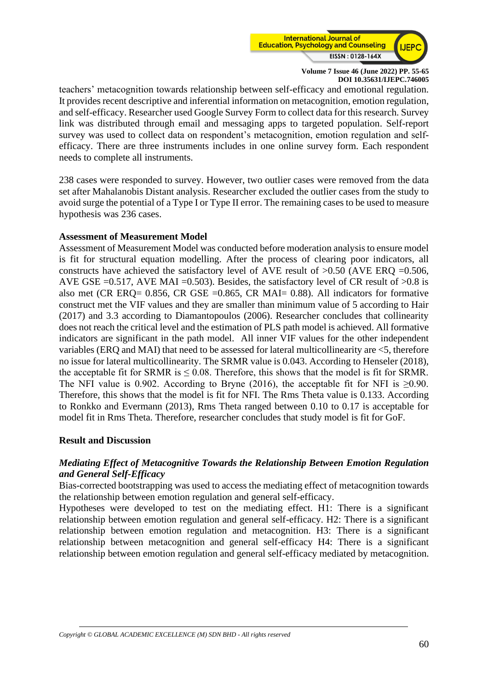

teachers' metacognition towards relationship between self-efficacy and emotional regulation. It provides recent descriptive and inferential information on metacognition, emotion regulation, and self-efficacy. Researcher used Google Survey Form to collect data for this research. Survey link was distributed through email and messaging apps to targeted population. Self-report survey was used to collect data on respondent's metacognition, emotion regulation and selfefficacy. There are three instruments includes in one online survey form. Each respondent needs to complete all instruments.

238 cases were responded to survey. However, two outlier cases were removed from the data set after Mahalanobis Distant analysis. Researcher excluded the outlier cases from the study to avoid surge the potential of a Type I or Type II error. The remaining cases to be used to measure hypothesis was 236 cases.

## **Assessment of Measurement Model**

Assessment of Measurement Model was conducted before moderation analysis to ensure model is fit for structural equation modelling. After the process of clearing poor indicators, all constructs have achieved the satisfactory level of AVE result of  $>0.50$  (AVE ERQ =0.506, AVE GSE = 0.517, AVE MAI = 0.503). Besides, the satisfactory level of CR result of  $>0.8$  is also met (CR ERQ= 0.856, CR GSE =0.865, CR MAI= 0.88). All indicators for formative construct met the VIF values and they are smaller than minimum value of 5 according to Hair (2017) and 3.3 according to Diamantopoulos (2006). Researcher concludes that collinearity does not reach the critical level and the estimation of PLS path model is achieved. All formative indicators are significant in the path model. All inner VIF values for the other independent variables (ERQ and MAI) that need to be assessed for lateral multicollinearity are <5, therefore no issue for lateral multicollinearity. The SRMR value is 0.043. According to Henseler (2018), the acceptable fit for SRMR is  $\leq$  0.08. Therefore, this shows that the model is fit for SRMR. The NFI value is 0.902. According to Bryne (2016), the acceptable fit for NFI is  $>0.90$ . Therefore, this shows that the model is fit for NFI. The Rms Theta value is 0.133. According to Ronkko and Evermann (2013), Rms Theta ranged between 0.10 to 0.17 is acceptable for model fit in Rms Theta. Therefore, researcher concludes that study model is fit for GoF.

## **Result and Discussion**

## *Mediating Effect of Metacognitive Towards the Relationship Between Emotion Regulation and General Self-Efficacy*

Bias-corrected bootstrapping was used to access the mediating effect of metacognition towards the relationship between emotion regulation and general self-efficacy.

Hypotheses were developed to test on the mediating effect. H1: There is a significant relationship between emotion regulation and general self-efficacy. H2: There is a significant relationship between emotion regulation and metacognition. H3: There is a significant relationship between metacognition and general self-efficacy H4: There is a significant relationship between emotion regulation and general self-efficacy mediated by metacognition.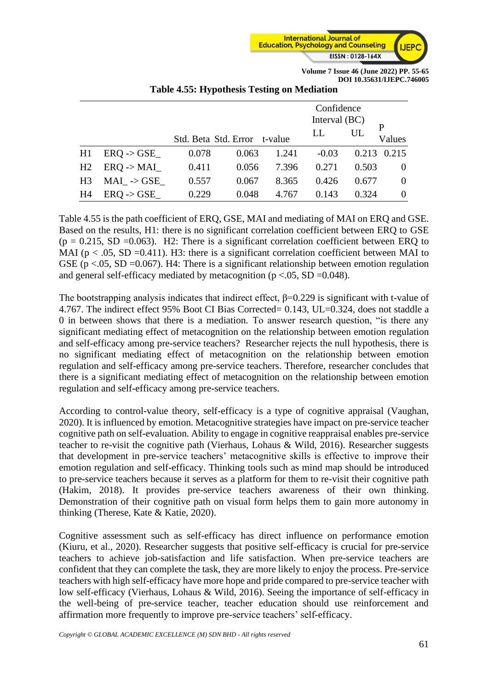

|                |                       |                              |       |       | Confidence<br>Interval $(BC)$ |       |             |
|----------------|-----------------------|------------------------------|-------|-------|-------------------------------|-------|-------------|
|                |                       | Std. Beta Std. Error t-value |       |       | LL                            | UL    | P<br>Values |
| H1             | $ERQ \rightarrow GSE$ | 0.078                        | 0.063 | 1.241 | $-0.03$                       | 0.213 | 0.215       |
| H <sub>2</sub> | ERO > MAI             | 0.411                        | 0.056 | 7.396 | 0.271                         | 0.503 | $\theta$    |
| H <sub>3</sub> | $MAI \rightarrow GSE$ | 0.557                        | 0.067 | 8.365 | 0.426                         | 0.677 | $\theta$    |
| H4             | ERO > GSE             | 0.229                        | 0.048 | 4.767 | 0.143                         | 0.324 |             |

#### **Table 4.55: Hypothesis Testing on Mediation**

Table 4.55 is the path coefficient of ERQ, GSE, MAI and mediating of MAI on ERQ and GSE. Based on the results, H1: there is no significant correlation coefficient between ERQ to GSE  $(p = 0.215, SD = 0.063)$ . H2: There is a significant correlation coefficient between ERQ to MAI ( $p < .05$ , SD =0.411). H3: there is a significant correlation coefficient between MAI to GSE ( $p < 0.05$ , SD = 0.067). H4: There is a significant relationship between emotion regulation and general self-efficacy mediated by metacognition ( $p < .05$ , SD = 0.048).

The bootstrapping analysis indicates that indirect effect,  $\beta$ =0.229 is significant with t-value of 4.767. The indirect effect 95% Boot CI Bias Corrected= 0.143, UL=0.324, does not staddle a 0 in between shows that there is a mediation. To answer research question, "is there any significant mediating effect of metacognition on the relationship between emotion regulation and self-efficacy among pre-service teachers? Researcher rejects the null hypothesis, there is no significant mediating effect of metacognition on the relationship between emotion regulation and self-efficacy among pre-service teachers. Therefore, researcher concludes that there is a significant mediating effect of metacognition on the relationship between emotion regulation and self-efficacy among pre-service teachers.

According to control-value theory, self-efficacy is a type of cognitive appraisal (Vaughan, 2020). It is influenced by emotion. Metacognitive strategies have impact on pre-service teacher cognitive path on self-evaluation. Ability to engage in cognitive reappraisal enables pre-service teacher to re-visit the cognitive path (Vierhaus, Lohaus & Wild, 2016). Researcher suggests that development in pre-service teachers' metacognitive skills is effective to improve their emotion regulation and self-efficacy. Thinking tools such as mind map should be introduced to pre-service teachers because it serves as a platform for them to re-visit their cognitive path (Hakim, 2018). It provides pre-service teachers awareness of their own thinking. Demonstration of their cognitive path on visual form helps them to gain more autonomy in thinking (Therese, Kate & Katie, 2020).

Cognitive assessment such as self-efficacy has direct influence on performance emotion (Kiuru, et al., 2020). Researcher suggests that positive self-efficacy is crucial for pre-service teachers to achieve job-satisfaction and life satisfaction. When pre-service teachers are confident that they can complete the task, they are more likely to enjoy the process. Pre-service teachers with high self-efficacy have more hope and pride compared to pre-service teacher with low self-efficacy (Vierhaus, Lohaus & Wild, 2016). Seeing the importance of self-efficacy in the well-being of pre-service teacher, teacher education should use reinforcement and affirmation more frequently to improve pre-service teachers' self-efficacy.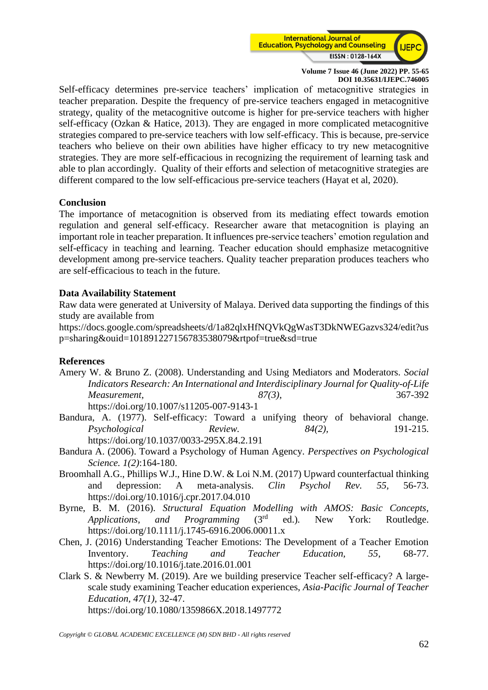

Self-efficacy determines pre-service teachers' implication of metacognitive strategies in teacher preparation. Despite the frequency of pre-service teachers engaged in metacognitive strategy, quality of the metacognitive outcome is higher for pre-service teachers with higher self-efficacy (Ozkan & Hatice, 2013). They are engaged in more complicated metacognitive strategies compared to pre-service teachers with low self-efficacy. This is because, pre-service teachers who believe on their own abilities have higher efficacy to try new metacognitive strategies. They are more self-efficacious in recognizing the requirement of learning task and able to plan accordingly. Quality of their efforts and selection of metacognitive strategies are different compared to the low self-efficacious pre-service teachers (Hayat et al, 2020).

## **Conclusion**

The importance of metacognition is observed from its mediating effect towards emotion regulation and general self-efficacy. Researcher aware that metacognition is playing an important role in teacher preparation. It influences pre-service teachers' emotion regulation and self-efficacy in teaching and learning. Teacher education should emphasize metacognitive development among pre-service teachers. Quality teacher preparation produces teachers who are self-efficacious to teach in the future.

## **Data Availability Statement**

Raw data were generated at University of Malaya. Derived data supporting the findings of this study are available from

https://docs.google.com/spreadsheets/d/1a82qlxHfNQVkQgWasT3DkNWEGazvs324/edit?us p=sharing&ouid=101891227156783538079&rtpof=true&sd=true

## **References**

- Amery W. & Bruno Z. (2008). Understanding and Using Mediators and Moderators. *Social Indicators Research: An International and Interdisciplinary Journal for Quality-of-Life Measurement, 87(3)*, 367-392 https://doi.org/10.1007/s11205-007-9143-1
- Bandura, A. (1977). Self-efficacy: Toward a unifying theory of behavioral change. *Psychological Review. 84(2),* 191-215. [https://doi.org/10.1037/0033-295X.84.2.191](https://psycnet.apa.org/doi/10.1037/0033-295X.84.2.191)
- Bandura A. (2006). Toward a Psychology of Human Agency. *Perspectives on Psychological Science. 1(2)*:164-180.
- Broomhall A.G., Phillips W.J., Hine D.W. & Loi N.M. (2017) Upward counterfactual thinking and depression: A meta-analysis. *Clin Psychol Rev. 55,* 56-73. <https://doi.org/10.1016/j.cpr.2017.04.010>
- Byrne, B. M. (2016). *Structural Equation Modelling with AMOS: Basic Concepts, Applications, and Programming* (3rd ed.)*.* New York: Routledge. <https://doi.org/10.1111/j.1745-6916.2006.00011.x>
- Chen, J. (2016) Understanding Teacher Emotions: The Development of a Teacher Emotion Inventory. *Teaching and Teacher Education, 55*, 68-77. https://doi.org/10.1016/j.tate.2016.01.001
- Clark S. & Newberry M. (2019). Are we building preservice Teacher self-efficacy? A largescale study examining Teacher education experiences, *Asia-Pacific Journal of Teacher Education, 47(1),* 32-47.

https://doi.org[/10.1080/1359866X.2018.1497772](https://doi.org/10.1080/1359866X.2018.1497772)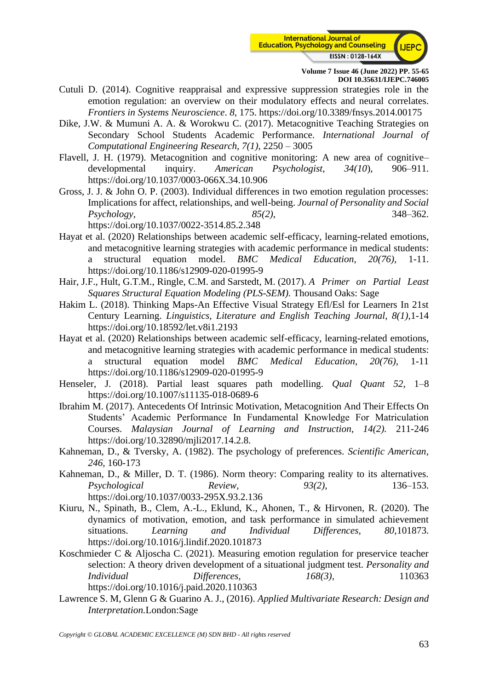

- Cutuli D. (2014). Cognitive reappraisal and expressive suppression strategies role in the emotion regulation: an overview on their modulatory effects and neural correlates. *Frontiers in Systems Neuroscience*. *8,* 175. https://doi.org/10.3389/fnsys.2014.00175
- Dike, J.W. & Mumuni A. A. & Worokwu C. (2017). Metacognitive Teaching Strategies on Secondary School Students Academic Performance. *International Journal of Computational Engineering Research, 7(1),* 2250 – 3005
- Flavell, J. H. (1979). Metacognition and cognitive monitoring: A new area of cognitive– developmental inquiry. *American Psychologist, 34(10*), 906–911. https://doi.org/10.1037/0003-066X.34.10.906
- Gross, J. J. & John O. P. (2003). Individual differences in two emotion regulation processes: Implications for affect, relationships, and well-being. *Journal of Personality and Social Psychology, 85(2),* 348–362.

https://doi.org/10.1037/0022-3514.85.2.348

- Hayat et al. (2020) Relationships between academic self-efficacy, learning-related emotions, and metacognitive learning strategies with academic performance in medical students: a structural equation model. *BMC Medical Education, 20(76),* 1-11. <https://doi.org/10.1186/s12909-020-01995-9>
- Hair, J.F., Hult, G.T.M., Ringle, C.M. and Sarstedt, M. (2017). *A Primer on Partial Least Squares Structural Equation Modeling (PLS-SEM).* Thousand Oaks: Sage
- Hakim L. (2018). Thinking Maps-An Effective Visual Strategy Efl/Esl for Learners In 21st Century Learning. *Linguistics, Literature and English Teaching Journal, 8(1),*1-14 https://doi.org[/10.18592/let.v8i1.2193](http://dx.doi.org/10.18592/let.v8i1.2193)
- Hayat et al. (2020) Relationships between academic self-efficacy, learning-related emotions, and metacognitive learning strategies with academic performance in medical students: a structural equation model *BMC Medical Education, 20(76),* 1-11 https://doi.org/10.1186/s12909-020-01995-9
- Henseler, J. (2018). Partial least squares path modelling. *Qual Quant 52*, 1–8 <https://doi.org/10.1007/s11135-018-0689-6>
- Ibrahim M. (2017). Antecedents Of Intrinsic Motivation, Metacognition And Their Effects On Students' Academic Performance In Fundamental Knowledge For Matriculation Courses. *Malaysian Journal of Learning and Instruction, 14(2).* 211-246 https://doi.org/10.32890/mjli2017.14.2.8.
- Kahneman, D., & Tversky, A. (1982). The psychology of preferences. *Scientific American, 246,* 160-173
- Kahneman, D., & Miller, D. T. (1986). Norm theory: Comparing reality to its alternatives. *Psychological Review, 93(2),* 136–153. <https://doi.org/10.1037/0033-295X.93.2.136>
- Kiuru, N., Spinath, B., Clem, A.-L., Eklund, K., Ahonen, T., & Hirvonen, R. (2020). The dynamics of motivation, emotion, and task performance in simulated achievement situations. *Learning and Individual Differences, 80,*101873. https://doi.org/10.1016/j.lindif.2020.101873
- Koschmieder C & Aljoscha C. (2021). Measuring emotion regulation for preservice teacher selection: A theory driven development of a situational judgment test. *Personality and Individual Differences, 168(3),* 110363 https://doi.org[/10.1016/j.paid.2020.110363](http://dx.doi.org/10.1016/j.paid.2020.110363)
- Lawrence S. M, Glenn G & Guarino A. J., (2016). *Applied Multivariate Research: Design and Interpretation.*London:Sage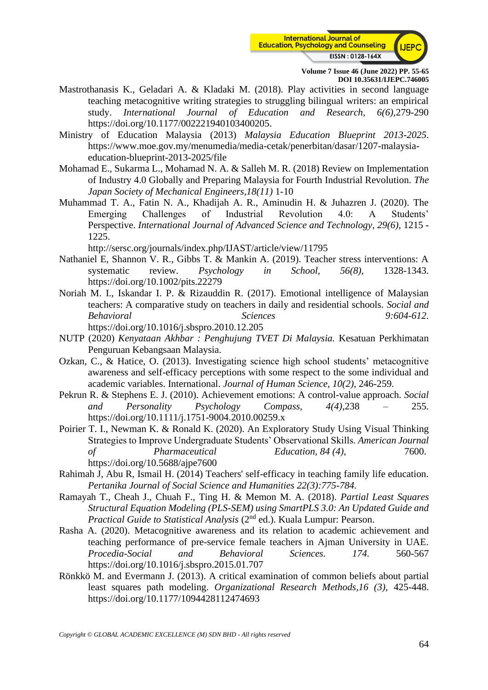

- Mastrothanasis K., Geladari A. & Kladaki M. (2018). Play activities in second language teaching metacognitive writing strategies to struggling bilingual writers: an empirical study. *International Journal of Education and Research, 6(6),*279-290 https://doi.org/10.1177/002221940103400205.
- Ministry of Education Malaysia (2013) *Malaysia Education Blueprint 2013-2025*. [https://www.moe.gov.my/menumedia/media-cetak/penerbitan/dasar/1207-malaysia](https://www.moe.gov.my/menumedia/media-cetak/penerbitan/dasar/1207-malaysia-education-blueprint-2013-2025/file)[education-blueprint-2013-2025/file](https://www.moe.gov.my/menumedia/media-cetak/penerbitan/dasar/1207-malaysia-education-blueprint-2013-2025/file)
- Mohamad E., Sukarma L., Mohamad N. A. & Salleh M. R. (2018) Review on Implementation of Industry 4.0 Globally and Preparing Malaysia for Fourth Industrial Revolution. *The Japan Society of Mechanical Engineers,18(11)* 1-10
- Muhammad T. A., Fatin N. A., Khadijah A. R., Aminudin H. & Juhazren J. (2020). The Emerging Challenges of Industrial Revolution 4.0: A Students' Perspective. *International Journal of Advanced Science and Technology*, *29(6),* 1215 - 1225.

http://sersc.org/journals/index.php/IJAST/article/view/11795

- Nathaniel E, Shannon V. R., Gibbs T. & Mankin A. (2019). Teacher stress interventions: A systematic review. *Psychology in School, 56(8),* 1328-1343. https://doi.org/10.1002/pits.22279
- Noriah M. I., Iskandar I. P. & Rizauddin R. (2017). Emotional intelligence of Malaysian teachers: A comparative study on teachers in daily and residential schools. *Social and Behavioral Sciences 9:604-612*. https://doi.org[/10.1016/j.sbspro.2010.12.205](http://dx.doi.org/10.1016/j.sbspro.2010.12.205)
- NUTP (2020) *Kenyataan Akhbar : Penghujung TVET Di Malaysia.* Kesatuan Perkhimatan Penguruan Kebangsaan Malaysia.
- Ozkan, C., & Hatice, O. (2013). Investigating science high school students' metacognitive awareness and self-efficacy perceptions with some respect to the some individual and academic variables. International. *Journal of Human Science, 10(2),* 246-259.
- Pekrun R. & Stephens E. J. (2010). Achievement emotions: A control-value approach. *Social and Personality Psychology Compass, 4(4)*,238 – 255. https://doi.org[/10.1111/j.1751-9004.2010.00259.x](http://dx.doi.org/10.1111/j.1751-9004.2010.00259.x)
- Poirier T. I., Newman K. & Ronald K. (2020). An Exploratory Study Using Visual Thinking Strategies to Improve Undergraduate Students' Observational Skills. *American Journal of Pharmaceutical Education, 84 (4),* 7600. https://doi.org[/10.5688/ajpe7600](https://dx.doi.org/10.5688%2Fajpe7600)
- Rahimah J, Abu R, Ismail H. (2014) Teachers' self-efficacy in teaching family life education. *Pertanika Journal of Social Science and Humanities 22(3):775-784.*
- Ramayah T., Cheah J., Chuah F., Ting H. & Memon M. A. (2018). *Partial Least Squares Structural Equation Modeling (PLS-SEM) using SmartPLS 3.0: An Updated Guide and Practical Guide to Statistical Analysis (2<sup>nd</sup> ed.).* Kuala Lumpur: Pearson.
- Rasha A. (2020). Metacognitive awareness and its relation to academic achievement and teaching performance of pre-service female teachers in Ajman University in UAE. *Procedia-Social and Behavioral Sciences. 174.* 560-567 https://doi.org/10.1016/j.sbspro.2015.01.707
- Rönkkö M. and Evermann J. (2013). A critical examination of common beliefs about partial least squares path modeling. *Organizational Research Methods,16 (3),* 425-448. https://doi.org[/10.1177/1094428112474693](http://dx.doi.org/10.1177/1094428112474693)